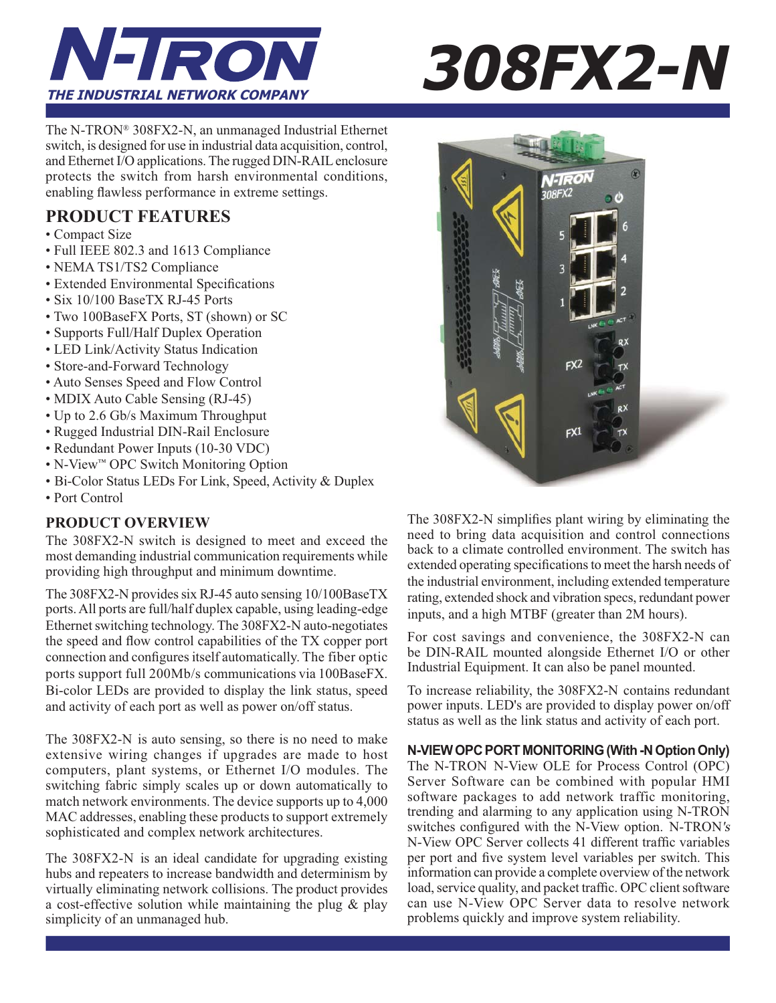

# **THE INDUSTRIAL RETWORK COMPANY 308FX2-N**

The N-TRON® 308FX2-N, an unmanaged Industrial Ethernet switch, is designed for use in industrial data acquisition, control, and Ethernet I/O applications. The rugged DIN-RAIL enclosure protects the switch from harsh environmental conditions, enabling flawless performance in extreme settings.

# **PRODUCT FEATURES**

- Compact Size
- Full IEEE 802.3 and 1613 Compliance
- NEMA TS1/TS2 Compliance
- Extended Environmental Specifications
- Six 10/100 BaseTX RJ-45 Ports
- Two 100BaseFX Ports, ST (shown) or SC
- Supports Full/Half Duplex Operation
- LED Link/Activity Status Indication
- Store-and-Forward Technology
- Auto Senses Speed and Flow Control
- MDIX Auto Cable Sensing (RJ-45)
- Up to 2.6 Gb/s Maximum Throughput
- Rugged Industrial DIN-Rail Enclosure
- Redundant Power Inputs (10-30 VDC)
- N-View™ OPC Switch Monitoring Option
- Bi-Color Status LEDs For Link, Speed, Activity & Duplex
- Port Control

### **PRODUCT OVERVIEW**

The 308FX2-N switch is designed to meet and exceed the most demanding industrial communication requirements while providing high throughput and minimum downtime.

The 308FX2-N provides six RJ-45 auto sensing 10/100BaseTX ports. All ports are full/half duplex capable, using leading-edge Ethernet switching technology. The 308FX2-N auto-negotiates the speed and flow control capabilities of the TX copper port connection and configures itself automatically. The fiber optic ports support full 200Mb/s communications via 100BaseFX. Bi-color LEDs are provided to display the link status, speed and activity of each port as well as power on/off status.

The 308FX2-N is auto sensing, so there is no need to make extensive wiring changes if upgrades are made to host computers, plant systems, or Ethernet I/O modules. The switching fabric simply scales up or down automatically to match network environments. The device supports up to 4,000 MAC addresses, enabling these products to support extremely sophisticated and complex network architectures.

The 308FX2-N is an ideal candidate for upgrading existing hubs and repeaters to increase bandwidth and determinism by virtually eliminating network collisions. The product provides a cost-effective solution while maintaining the plug & play simplicity of an unmanaged hub.



The 308FX2-N simplifies plant wiring by eliminating the need to bring data acquisition and control connections back to a climate controlled environment. The switch has extended operating specifications to meet the harsh needs of the industrial environment, including extended temperature rating, extended shock and vibration specs, redundant power inputs, and a high MTBF (greater than 2M hours).

For cost savings and convenience, the 308FX2-N can be DIN-RAIL mounted alongside Ethernet I/O or other Industrial Equipment. It can also be panel mounted.

To increase reliability, the 308FX2-N contains redundant power inputs. LED's are provided to display power on/off status as well as the link status and activity of each port.

#### **N-VIEW OPC PORT MONITORING (With -N Option Only)**

The N-TRON N-View OLE for Process Control (OPC) Server Software can be combined with popular HMI software packages to add network traffic monitoring, trending and alarming to any application using N-TRON switches configured with the N-View option. N-TRON's N-View OPC Server collects 41 different traffic variables per port and five system level variables per switch. This information can provide a complete overview of the network load, service quality, and packet traffic. OPC client software can use N-View OPC Server data to resolve network problems quickly and improve system reliability.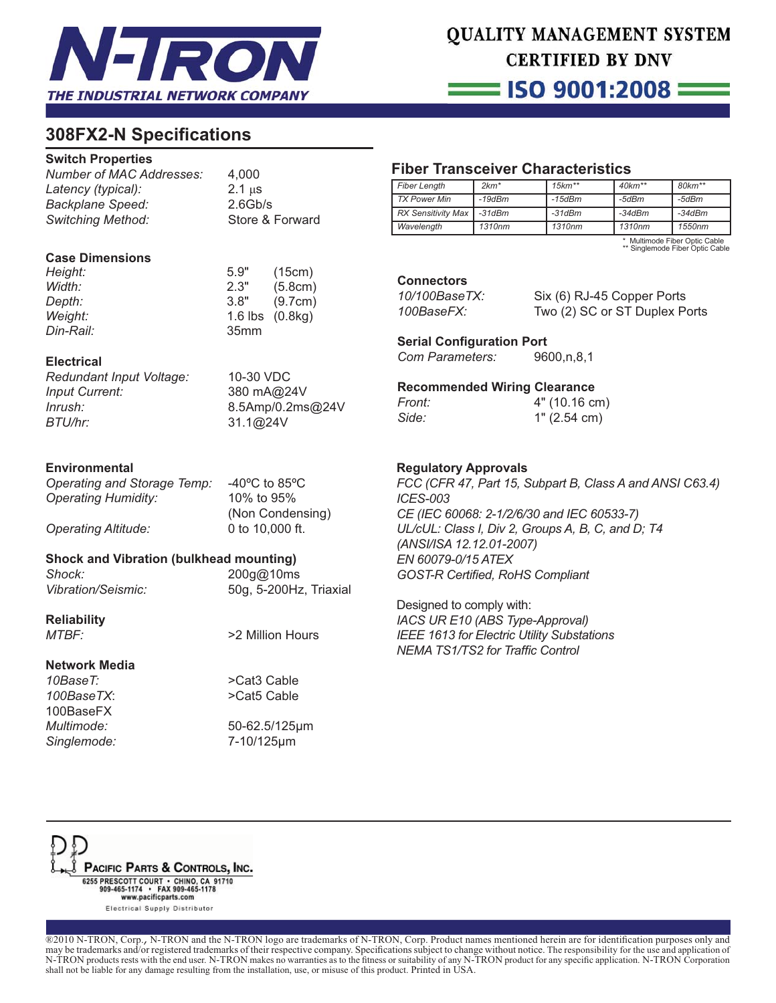

# QUALITY MANAGEMENT SYSTEM **CERTIFIED BY DNV**

= ISO 9001:2008 =

# **308FX2-N Specifi cations**

#### **Switch Properties**

| Number of MAC Addresses: |  |
|--------------------------|--|
| Latency (typical):       |  |
| <b>Backplane Speed:</b>  |  |
| <b>Switching Method:</b> |  |

*Number of MAC Addresses:* 4,000 2.1 µs *Backplane Speed:* 2.6Gb/s **Store & Forward** 

#### **Case Dimensions**

| Height:          | 5.9"              | (15cm)  |
|------------------|-------------------|---------|
| Width:           | 2.3"              | (5.8cm) |
| <i>Depth:</i>    | 3.8"              | (9.7cm) |
| Weight:          | 1.6 lbs $(0.8kg)$ |         |
| <i>Din-Rail:</i> | 35 <sub>mm</sub>  |         |

#### **Electrical**

*Redundant Input Voltage:* 10-30 VDC *Input Current:* 380 mA@24V *Inrush:* 8.5Amp/0.2ms@24V *BTU/hr:* 31.1@24V

#### **Environmental**

*Operating and Storage Temp:* -40ºC to 85ºC *Operating Humidity:* 10% to 95%

*Operating Altitude:* 0 to 10,000 ft.

(Non Condensing)

#### **Shock and Vibration (bulkhead mounting)**

*Shock:* 200g@10ms *Vibration/Seismic:* 50g, 5-200Hz, Triaxial

**Reliability**

*MTBF:* >2 Million Hours

#### **Network Media**

*10BaseT:* >Cat3 Cable *100BaseTX*: >Cat5 Cable 100BaseFX Singlemode:

*Multimode:* 50-62.5/125µm 7-10/125µm

# **Fiber Transceiver Characteristics**

| <b>Fiber Length</b>       | $2km*$             | $15km**$           | $40km**$ | $80km**$ |
|---------------------------|--------------------|--------------------|----------|----------|
| <b>TX Power Min</b>       | $-19dBm$           | -15dBm             | -5dBm    | -5dBm    |
| <b>RX Sensitivity Max</b> | $-31$ d $Bm$       | $-31dBm$           | $-34dBm$ | $-34dBm$ |
| Wavelength                | 1310 <sub>nm</sub> | 1310 <sub>nm</sub> | 1310nm   | 1550nm   |

Multimode Fiber Optic Cable \*\* Singlemode Fiber Optic Cable

#### **Connectors**

| 10/100BaseTX: | Six (6) RJ-45 Copper Ports    |
|---------------|-------------------------------|
| 100BaseFX:    | Two (2) SC or ST Duplex Ports |

**Serial Configuration Port** 

*Com Parameters:* 9600,n,8,1

#### **Recommended Wiring Clearance**

| Front: | 4" (10.16 cm) |
|--------|---------------|
| Side:  | 1" (2.54 cm)  |

#### **Regulatory Approvals**

*FCC (CFR 47, Part 15, Subpart B, Class A and ANSI C63.4) ICES-003 CE (IEC 60068: 2-1/2/6/30 and IEC 60533-7) UL/cUL: Class I, Div 2, Groups A, B, C, and D; T4 (ANSI/ISA 12.12.01-2007) EN 60079-0/15 ATEX GOST-R Certifi ed, RoHS Compliant*

Designed to comply with: *IACS UR E10 (ABS Type-Approval) IEEE 1613 for Electric Utility Substations* **NEMA TS1/TS2 for Traffic Control** 

PACIFIC PARTS & CONTROLS, INC. 6255 PRESCOTT COURT • CHINO, CA 91710<br>909-465-1174 • FAX 909-465-1178<br>www.pacificparts.com **Electrical Supply Distributor** 

®2010 N-TRON, Corp., N-TRON and the N-TRON logo are trademarks of N-TRON, Corp. Product names mentioned herein are for identification purposes only and may be trademarks and/or registered trademarks of their respective company. Specifications subject to change without notice. The responsibility for the use and application of N-TRON products rests with the end user. N-TRON makes no warranties as to the fitness or suitability of any N-TRON product for any specific application. N-TRON Corporation shall not be liable for any damage resulting from the installation, use, or misuse of this product. Printed in USA.